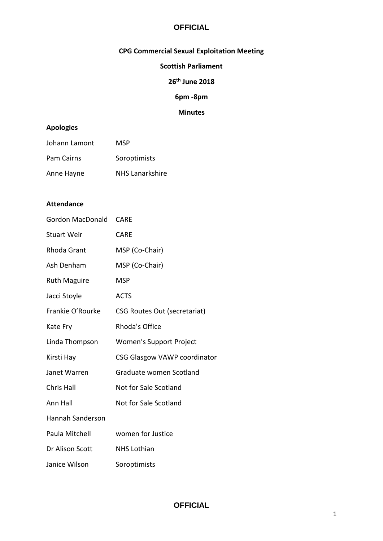## **CPG Commercial Sexual Exploitation Meeting**

### **Scottish Parliament**

## **26th June 2018**

## **6pm -8pm**

### **Minutes**

## **Apologies**

| Johann Lamont | MSP                    |
|---------------|------------------------|
| Pam Cairns    | Soroptimists           |
| Anne Hayne    | <b>NHS Lanarkshire</b> |

### **Attendance**

| <b>Gordon MacDonald</b> | <b>CARE</b>                         |
|-------------------------|-------------------------------------|
| <b>Stuart Weir</b>      | <b>CARE</b>                         |
| Rhoda Grant             | MSP (Co-Chair)                      |
| Ash Denham              | MSP (Co-Chair)                      |
| <b>Ruth Maguire</b>     | <b>MSP</b>                          |
| Jacci Stoyle            | <b>ACTS</b>                         |
| Frankie O'Rourke        | <b>CSG Routes Out (secretariat)</b> |
| Kate Fry                | Rhoda's Office                      |
| Linda Thompson          | Women's Support Project             |
| Kirsti Hay              | CSG Glasgow VAWP coordinator        |
| Janet Warren            | Graduate women Scotland             |
| Chris Hall              | Not for Sale Scotland               |
| Ann Hall                | Not for Sale Scotland               |
| <b>Hannah Sanderson</b> |                                     |
| Paula Mitchell          | women for Justice                   |
| Dr Alison Scott         | <b>NHS Lothian</b>                  |
| Janice Wilson           | Soroptimists                        |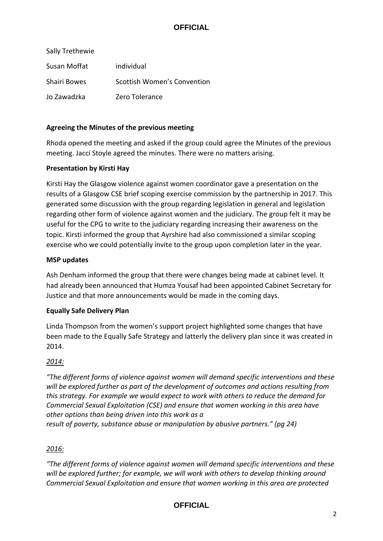| Sally Trethewie |                             |
|-----------------|-----------------------------|
| Susan Moffat    | individual                  |
| Shairi Bowes    | Scottish Women's Convention |
| Jo Zawadzka     | Zero Tolerance              |

### **Agreeing the Minutes of the previous meeting**

Rhoda opened the meeting and asked if the group could agree the Minutes of the previous meeting. Jacci Stoyle agreed the minutes. There were no matters arising.

### **Presentation by Kirsti Hay**

Kirsti Hay the Glasgow violence against women coordinator gave a presentation on the results of a Glasgow CSE brief scoping exercise commission by the partnership in 2017. This generated some discussion with the group regarding legislation in general and legislation regarding other form of violence against women and the judiciary. The group felt it may be useful for the CPG to write to the judiciary regarding increasing their awareness on the topic. Kirsti informed the group that Ayrshire had also commissioned a similar scoping exercise who we could potentially invite to the group upon completion later in the year.

### **MSP updates**

Ash Denham informed the group that there were changes being made at cabinet level. It had already been announced that Humza Yousaf had been appointed Cabinet Secretary for Justice and that more announcements would be made in the coming days.

### **Equally Safe Delivery Plan**

Linda Thompson from the women's support project highlighted some changes that have been made to the Equally Safe Strategy and latterly the delivery plan since it was created in 2014.

### *2014:*

*"The different forms of violence against women will demand specific interventions and these will be explored further as part of the development of outcomes and actions resulting from this strategy. For example we would expect to work with others to reduce the demand for Commercial Sexual Exploitation (CSE) and ensure that women working in this area have other options than being driven into this work as a*

# *result of poverty, substance abuse or manipulation by abusive partners." (pg 24)*

### *2016:*

*"The different forms of violence against women will demand specific interventions and these will be explored further; for example, we will work with others to develop thinking around Commercial Sexual Exploitation and ensure that women working in this area are protected* 

## **OFFICIAL**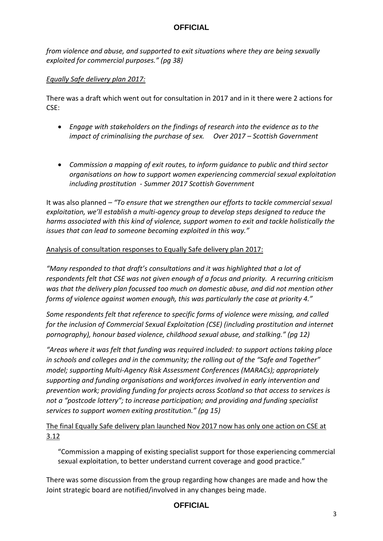*from violence and abuse, and supported to exit situations where they are being sexually exploited for commercial purposes." (pg 38)*

### *Equally Safe delivery plan 2017:*

There was a draft which went out for consultation in 2017 and in it there were 2 actions for CSE:

- *Engage with stakeholders on the findings of research into the evidence as to the impact of criminalising the purchase of sex. Over 2017 – Scottish Government*
- *Commission a mapping of exit routes, to inform guidance to public and third sector organisations on how to support women experiencing commercial sexual exploitation including prostitution - Summer 2017 Scottish Government*

It was also planned *– "To ensure that we strengthen our efforts to tackle commercial sexual exploitation, we'll establish a multi-agency group to develop steps designed to reduce the harms associated with this kind of violence, support women to exit and tackle holistically the issues that can lead to someone becoming exploited in this way."*

## Analysis of consultation responses to Equally Safe delivery plan 2017:

*"Many responded to that draft's consultations and it was highlighted that a lot of respondents felt that CSE was not given enough of a focus and priority. A recurring criticism was that the delivery plan focussed too much on domestic abuse, and did not mention other forms of violence against women enough, this was particularly the case at priority 4."*

*Some respondents felt that reference to specific forms of violence were missing, and called for the inclusion of Commercial Sexual Exploitation (CSE) (including prostitution and internet pornography), honour based violence, childhood sexual abuse, and stalking." (pg 12)*

"Areas where it was felt that funding was required included: to support actions taking place *in schools and colleges and in the community; the rolling out of the "Safe and Together" model; supporting Multi-Agency Risk Assessment Conferences (MARACs); appropriately supporting and funding organisations and workforces involved in early intervention and prevention work; providing funding for projects across Scotland so that access to services is not a "postcode lottery"; to increase participation; and providing and funding specialist services to support women exiting prostitution." (pg 15)*

# The final Equally Safe delivery plan launched Nov 2017 now has only one action on CSE at 3.12

"Commission a mapping of existing specialist support for those experiencing commercial sexual exploitation, to better understand current coverage and good practice."

There was some discussion from the group regarding how changes are made and how the Joint strategic board are notified/involved in any changes being made.

## **OFFICIAL**